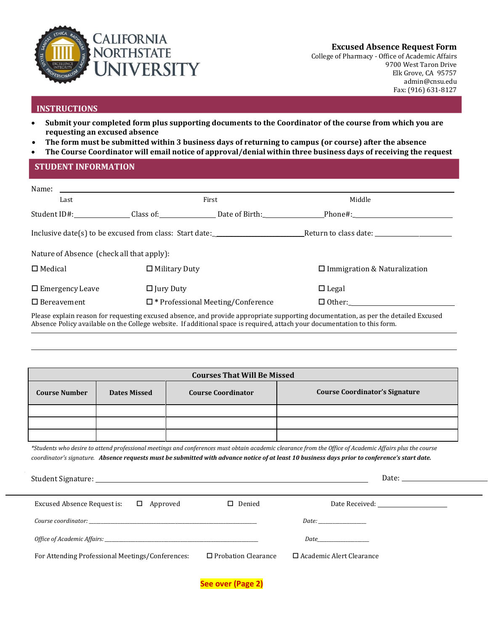

**Excused Absence Request Form**

College of Pharmacy - Office of Academic Affairs 9700 West Taron Drive Elk Grove, CA 9575[7](mailto:admin@cnsu.edu) [admin@cnsu.edu](mailto:admin@cnsu.edu) Fax: (916) 631-8127

# **INSTRUCTIONS**

- **Submit your completed form plus supporting documents to the Coordinator of the course from which you are requesting an excused absence**
- **The form must be submitted within 3 business days of returning to campus (or course) after the absence**
- **The Course Coordinator will email notice of approval/denial within three business days of receiving the request**

### **STUDENT INFORMATION**

| Last                                      | First                                                 | Middle                                                                                                                     |
|-------------------------------------------|-------------------------------------------------------|----------------------------------------------------------------------------------------------------------------------------|
|                                           | Student ID#: Class of: Date of Birth: Phone#: Phone#: |                                                                                                                            |
|                                           |                                                       |                                                                                                                            |
| Nature of Absence (check all that apply): |                                                       |                                                                                                                            |
| $\Box$ Medical                            | $\Box$ Military Duty                                  | $\Box$ Immigration & Naturalization                                                                                        |
| $\Box$ Emergency Leave                    | $\Box$ Jury Duty                                      | $\Box$ Legal                                                                                                               |
| $\Box$ Bereavement                        | $\square$ * Professional Meeting/Conference           | $\Box$ Other:                                                                                                              |
|                                           |                                                       | Dlagge sunkin waaan farwamaating sumaal shamaa and wuxuida summunista sumanting dagumantation, as nau tha datailad Eugusad |

Please explain reason for requesting excused absence, and provide appropriate supporting documentation, as per the detailed Excused Absence Policy available on the College website. If additional space is required, attach your documentation to this form.

| <b>Courses That Will Be Missed</b> |                     |                           |                                       |  |
|------------------------------------|---------------------|---------------------------|---------------------------------------|--|
| <b>Course Number</b>               | <b>Dates Missed</b> | <b>Course Coordinator</b> | <b>Course Coordinator's Signature</b> |  |
|                                    |                     |                           |                                       |  |
|                                    |                     |                           |                                       |  |
|                                    |                     |                           |                                       |  |

\*Students who desire to attend professional meetings and conferences must obtain academic clearance from the Office of Academic Affairs plus the course *coordinator's signature. Absence requests must be submitted with advance notice of at least 10 business days prior to conference's start date.*

|                                                                                                                                                                                                                                                                                                                                                                                                                                                                                                                                                                                                                                                  |                            | Date: the contract of the contract of the contract of the contract of the contract of the contract of the contract of the contract of the contract of the contract of the contract of the contract of the contract of the cont |  |  |
|--------------------------------------------------------------------------------------------------------------------------------------------------------------------------------------------------------------------------------------------------------------------------------------------------------------------------------------------------------------------------------------------------------------------------------------------------------------------------------------------------------------------------------------------------------------------------------------------------------------------------------------------------|----------------------------|--------------------------------------------------------------------------------------------------------------------------------------------------------------------------------------------------------------------------------|--|--|
|                                                                                                                                                                                                                                                                                                                                                                                                                                                                                                                                                                                                                                                  |                            |                                                                                                                                                                                                                                |  |  |
| Excused Absence Request is:<br>$\Box$ Approved                                                                                                                                                                                                                                                                                                                                                                                                                                                                                                                                                                                                   | $\square$ Denied           |                                                                                                                                                                                                                                |  |  |
| $\textit{Course coordinate}: \underline{\hspace{2cm}} \underline{\hspace{2cm}} \underline{\hspace{2cm}} \underline{\hspace{2cm}} \underline{\hspace{2cm}} \underline{\hspace{2cm}} \underline{\hspace{2cm}} \underline{\hspace{2cm}} \underline{\hspace{2cm}} \underline{\hspace{2cm}} \underline{\hspace{2cm}} \underline{\hspace{2cm}} \underline{\hspace{2cm}} \underline{\hspace{2cm}} \underline{\hspace{2cm}} \underline{\hspace{2cm}} \underline{\hspace{2cm}} \underline{\hspace{2cm}} \underline{\hspace{2cm}} \underline{\hspace{2cm}} \underline{\hspace{2cm}} \underline{\hspace{2cm}} \underline{\hspace{2cm}} \underline{\hspace{$ |                            |                                                                                                                                                                                                                                |  |  |
|                                                                                                                                                                                                                                                                                                                                                                                                                                                                                                                                                                                                                                                  |                            | <i>Date</i> and <i>Date</i>                                                                                                                                                                                                    |  |  |
| For Attending Professional Meetings/Conferences:                                                                                                                                                                                                                                                                                                                                                                                                                                                                                                                                                                                                 | $\Box$ Probation Clearance | $\Box$ Academic Alert Clearance                                                                                                                                                                                                |  |  |
|                                                                                                                                                                                                                                                                                                                                                                                                                                                                                                                                                                                                                                                  |                            |                                                                                                                                                                                                                                |  |  |
|                                                                                                                                                                                                                                                                                                                                                                                                                                                                                                                                                                                                                                                  | See over (Page 2)          |                                                                                                                                                                                                                                |  |  |